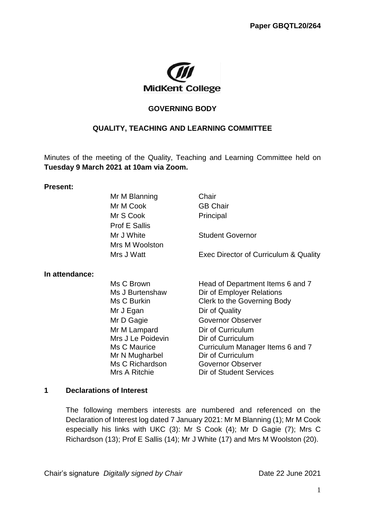

## **GOVERNING BODY**

## **QUALITY, TEACHING AND LEARNING COMMITTEE**

Minutes of the meeting of the Quality, Teaching and Learning Committee held on **Tuesday 9 March 2021 at 10am via Zoom.**

#### **Present:**

|                | Mr M Blanning        | Chair                                 |
|----------------|----------------------|---------------------------------------|
|                | Mr M Cook            | <b>GB Chair</b>                       |
|                | Mr S Cook            | Principal                             |
|                | <b>Prof E Sallis</b> |                                       |
|                | Mr J White           | <b>Student Governor</b>               |
|                | Mrs M Woolston       |                                       |
|                | Mrs J Watt           | Exec Director of Curriculum & Quality |
| In attendance: |                      |                                       |
|                | Ms C Brown           | Head of Department Items 6 and 7      |
|                | Ms J Burtenshaw      | Dir of Employer Relations             |
|                | Ms C Burkin          | Clerk to the Governing Body           |
|                | Mr J Egan            | Dir of Quality                        |
|                | Mr D Gagie           | <b>Governor Observer</b>              |
|                | Mr M Lampard         | Dir of Curriculum                     |
|                | Mrs J Le Poidevin    | Dir of Curriculum                     |
|                | Ms C Maurice         | Curriculum Manager Items 6 and 7      |
|                | Mr N Mugharbel       | Dir of Curriculum                     |
|                | Ms C Richardson      | <b>Governor Observer</b>              |
|                | Mrs A Ritchie        | Dir of Student Services               |

### **1 Declarations of Interest**

The following members interests are numbered and referenced on the Declaration of Interest log dated 7 January 2021: Mr M Blanning (1); Mr M Cook especially his links with UKC (3): Mr S Cook (4); Mr D Gagie (7); Mrs C Richardson (13); Prof E Sallis (14); Mr J White (17) and Mrs M Woolston (20).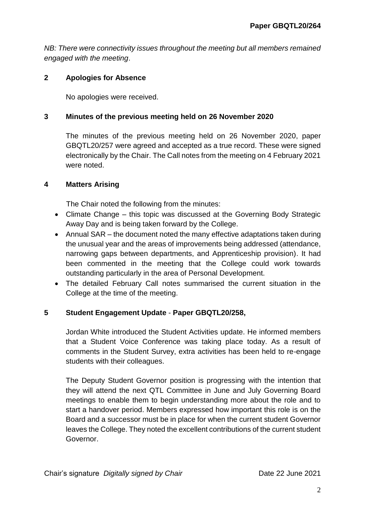*NB: There were connectivity issues throughout the meeting but all members remained engaged with the meeting*.

## **2 Apologies for Absence**

No apologies were received.

## **3 Minutes of the previous meeting held on 26 November 2020**

The minutes of the previous meeting held on 26 November 2020, paper GBQTL20/257 were agreed and accepted as a true record. These were signed electronically by the Chair. The Call notes from the meeting on 4 February 2021 were noted.

## **4 Matters Arising**

The Chair noted the following from the minutes:

- Climate Change this topic was discussed at the Governing Body Strategic Away Day and is being taken forward by the College.
- Annual SAR the document noted the many effective adaptations taken during the unusual year and the areas of improvements being addressed (attendance, narrowing gaps between departments, and Apprenticeship provision). It had been commented in the meeting that the College could work towards outstanding particularly in the area of Personal Development.
- The detailed February Call notes summarised the current situation in the College at the time of the meeting.

## **5 Student Engagement Update** - **Paper GBQTL20/258,**

Jordan White introduced the Student Activities update. He informed members that a Student Voice Conference was taking place today. As a result of comments in the Student Survey, extra activities has been held to re-engage students with their colleagues.

The Deputy Student Governor position is progressing with the intention that they will attend the next QTL Committee in June and July Governing Board meetings to enable them to begin understanding more about the role and to start a handover period. Members expressed how important this role is on the Board and a successor must be in place for when the current student Governor leaves the College. They noted the excellent contributions of the current student Governor.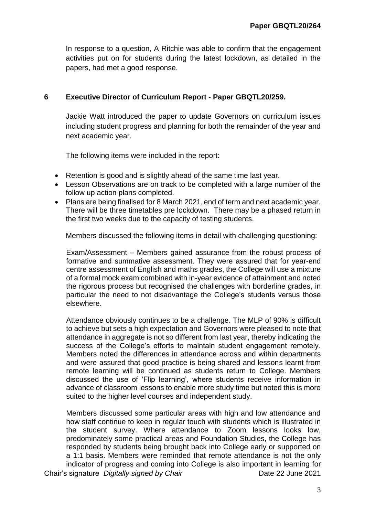In response to a question, A Ritchie was able to confirm that the engagement activities put on for students during the latest lockdown, as detailed in the papers, had met a good response.

## **6 Executive Director of Curriculum Report** - **Paper GBQTL20/259.**

Jackie Watt introduced the paper to update Governors on curriculum issues including student progress and planning for both the remainder of the year and next academic year.

The following items were included in the report:

- Retention is good and is slightly ahead of the same time last year.
- Lesson Observations are on track to be completed with a large number of the follow up action plans completed.
- Plans are being finalised for 8 March 2021, end of term and next academic year. There will be three timetables pre lockdown. There may be a phased return in the first two weeks due to the capacity of testing students.

Members discussed the following items in detail with challenging questioning:

Exam/Assessment – Members gained assurance from the robust process of formative and summative assessment. They were assured that for year-end centre assessment of English and maths grades, the College will use a mixture of a formal mock exam combined with in-year evidence of attainment and noted the rigorous process but recognised the challenges with borderline grades, in particular the need to not disadvantage the College's students versus those elsewhere.

Attendance obviously continues to be a challenge. The MLP of 90% is difficult to achieve but sets a high expectation and Governors were pleased to note that attendance in aggregate is not so different from last year, thereby indicating the success of the College's efforts to maintain student engagement remotely. Members noted the differences in attendance across and within departments and were assured that good practice is being shared and lessons learnt from remote learning will be continued as students return to College. Members discussed the use of 'Flip learning', where students receive information in advance of classroom lessons to enable more study time but noted this is more suited to the higher level courses and independent study.

Chair's signature *Digitally signed by Chair* Date 22 June 2021 Members discussed some particular areas with high and low attendance and how staff continue to keep in regular touch with students which is illustrated in the student survey. Where attendance to Zoom lessons looks low, predominately some practical areas and Foundation Studies, the College has responded by students being brought back into College early or supported on a 1:1 basis. Members were reminded that remote attendance is not the only indicator of progress and coming into College is also important in learning for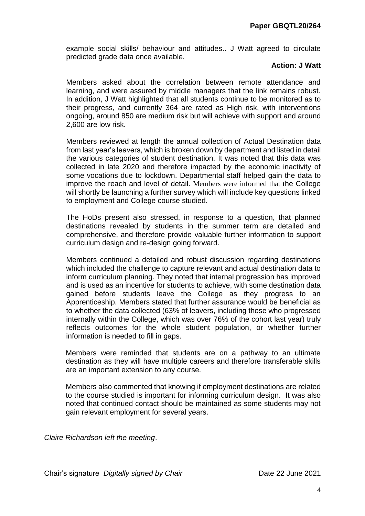example social skills/ behaviour and attitudes.. J Watt agreed to circulate predicted grade data once available.

#### **Action: J Watt**

Members asked about the correlation between remote attendance and learning, and were assured by middle managers that the link remains robust. In addition, J Watt highlighted that all students continue to be monitored as to their progress, and currently 364 are rated as High risk, with interventions ongoing, around 850 are medium risk but will achieve with support and around 2,600 are low risk.

Members reviewed at length the annual collection of Actual Destination data from last year's leavers, which is broken down by department and listed in detail the various categories of student destination. It was noted that this data was collected in late 2020 and therefore impacted by the economic inactivity of some vocations due to lockdown. Departmental staff helped gain the data to improve the reach and level of detail. Members were informed that the College will shortly be launching a further survey which will include key questions linked to employment and College course studied.

The HoDs present also stressed, in response to a question, that planned destinations revealed by students in the summer term are detailed and comprehensive, and therefore provide valuable further information to support curriculum design and re-design going forward.

Members continued a detailed and robust discussion regarding destinations which included the challenge to capture relevant and actual destination data to inform curriculum planning. They noted that internal progression has improved and is used as an incentive for students to achieve, with some destination data gained before students leave the College as they progress to an Apprenticeship. Members stated that further assurance would be beneficial as to whether the data collected (63% of leavers, including those who progressed internally within the College, which was over 76% of the cohort last year) truly reflects outcomes for the whole student population, or whether further information is needed to fill in gaps.

Members were reminded that students are on a pathway to an ultimate destination as they will have multiple careers and therefore transferable skills are an important extension to any course.

Members also commented that knowing if employment destinations are related to the course studied is important for informing curriculum design. It was also noted that continued contact should be maintained as some students may not gain relevant employment for several years.

*Claire Richardson left the meeting*.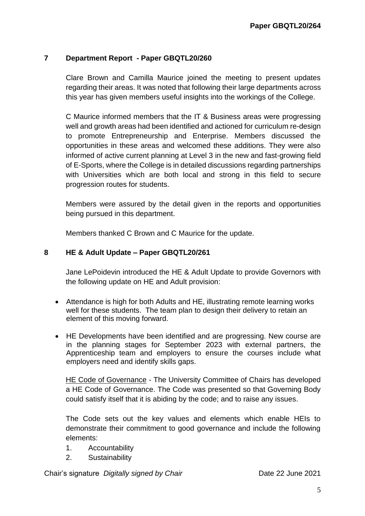## **7 Department Report - Paper GBQTL20/260**

Clare Brown and Camilla Maurice joined the meeting to present updates regarding their areas. It was noted that following their large departments across this year has given members useful insights into the workings of the College.

C Maurice informed members that the IT & Business areas were progressing well and growth areas had been identified and actioned for curriculum re-design to promote Entrepreneurship and Enterprise. Members discussed the opportunities in these areas and welcomed these additions. They were also informed of active current planning at Level 3 in the new and fast-growing field of E-Sports, where the College is in detailed discussions regarding partnerships with Universities which are both local and strong in this field to secure progression routes for students.

Members were assured by the detail given in the reports and opportunities being pursued in this department.

Members thanked C Brown and C Maurice for the update.

## **8 HE & Adult Update – Paper GBQTL20/261**

Jane LePoidevin introduced the HE & Adult Update to provide Governors with the following update on HE and Adult provision:

- Attendance is high for both Adults and HE, illustrating remote learning works well for these students. The team plan to design their delivery to retain an element of this moving forward.
- HE Developments have been identified and are progressing. New course are in the planning stages for September 2023 with external partners, the Apprenticeship team and employers to ensure the courses include what employers need and identify skills gaps.

HE Code of Governance - The University Committee of Chairs has developed a HE Code of Governance. The Code was presented so that Governing Body could satisfy itself that it is abiding by the code; and to raise any issues.

The Code sets out the key values and elements which enable HEIs to demonstrate their commitment to good governance and include the following elements:

- 1. Accountability
- 2. Sustainability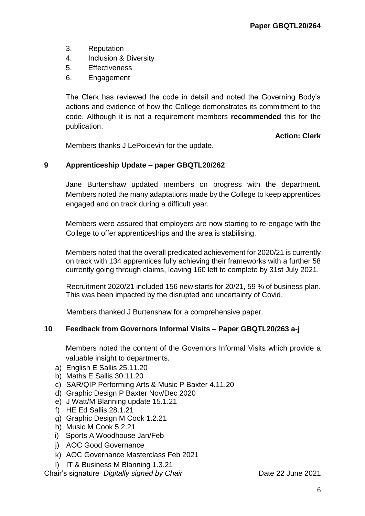- 3. Reputation
- 4. Inclusion & Diversity
- 5. Effectiveness
- 6. Engagement

The Clerk has reviewed the code in detail and noted the Governing Body's actions and evidence of how the College demonstrates its commitment to the code. Although it is not a requirement members **recommended** this for the publication.

**Action: Clerk**

Members thanks J LePoidevin for the update.

## **9 Apprenticeship Update – paper GBQTL20/262**

Jane Burtenshaw updated members on progress with the department. Members noted the many adaptations made by the College to keep apprentices engaged and on track during a difficult year.

Members were assured that employers are now starting to re-engage with the College to offer apprenticeships and the area is stabilising.

Members noted that the overall predicated achievement for 2020/21 is currently on track with 134 apprentices fully achieving their frameworks with a further 58 currently going through claims, leaving 160 left to complete by 31st July 2021.

Recruitment 2020/21 included 156 new starts for 20/21, 59 % of business plan. This was been impacted by the disrupted and uncertainty of Covid.

Members thanked J Burtenshaw for a comprehensive paper.

## **10 Feedback from Governors Informal Visits – Paper GBQTL20/263 a-j**

Members noted the content of the Governors Informal Visits which provide a valuable insight to departments.

- a) English E Sallis 25.11.20
- b) Maths E Sallis 30.11.20
- c) SAR/QIP Performing Arts & Music P Baxter 4.11.20
- d) Graphic Design P Baxter Nov/Dec 2020
- e) J Watt/M Blanning update 15.1.21
- f) HE Ed Sallis 28.1.21
- g) Graphic Design M Cook 1.2.21
- h) Music M Cook 5.2.21
- i) Sports A Woodhouse Jan/Feb
- j) AOC Good Governance
- k) AOC Governance Masterclass Feb 2021

l) IT & Business M Blanning 1.3.21